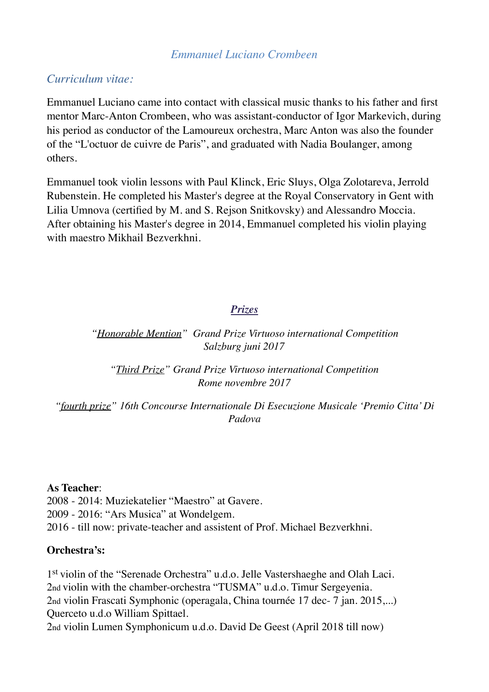## *Emmanuel Luciano Crombeen*

## *Curriculum vitae:*

Emmanuel Luciano came into contact with classical music thanks to his father and first mentor Marc-Anton Crombeen, who was assistant-conductor of Igor Markevich, during his period as conductor of the Lamoureux orchestra, Marc Anton was also the founder of the "L'octuor de cuivre de Paris", and graduated with Nadia Boulanger, among others.

Emmanuel took violin lessons with Paul Klinck, Eric Sluys, Olga Zolotareva, Jerrold Rubenstein. He completed his Master's degree at the Royal Conservatory in Gent with Lilia Umnova (certified by M. and S. Rejson Snitkovsky) and Alessandro Moccia. After obtaining his Master's degree in 2014, Emmanuel completed his violin playing with maestro Mikhail Bezverkhni.

## *Prizes*

### *"Honorable Mention" Grand Prize Virtuoso international Competition Salzburg juni 2017*

*"Third Prize" Grand Prize Virtuoso international Competition Rome novembre 2017*

*"fourth prize" 16th Concourse Internationale Di Esecuzione Musicale 'Premio Citta' Di Padova*

#### **As Teacher**:

2008 - 2014: Muziekatelier "Maestro" at Gavere. 2009 - 2016: "Ars Musica" at Wondelgem. 2016 - till now: private-teacher and assistent of Prof. Michael Bezverkhni.

#### **Orchestra's:**

1st violin of the "Serenade Orchestra" u.d.o. Jelle Vastershaeghe and Olah Laci. 2nd violin with the chamber-orchestra "TUSMA" u.d.o. Timur Sergeyenia. 2nd violin Frascati Symphonic (operagala, China tournée 17 dec- 7 jan. 2015,...) Querceto u.d.o William Spittael. 2nd violin Lumen Symphonicum u.d.o. David De Geest (April 2018 till now)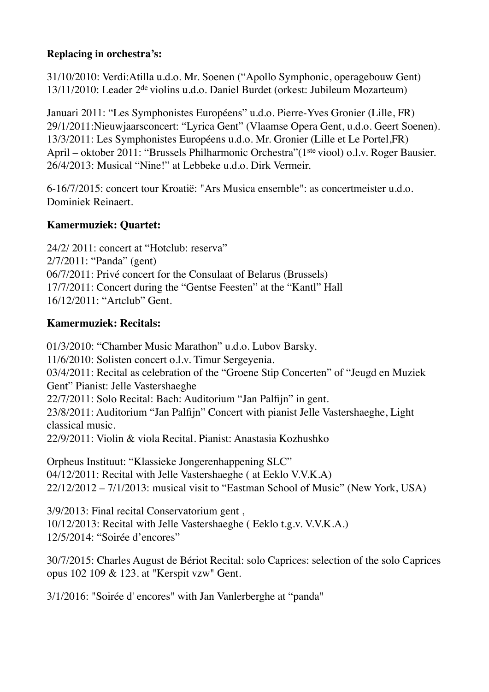## **Replacing in orchestra's:**

31/10/2010: Verdi:Atilla u.d.o. Mr. Soenen ("Apollo Symphonic, operagebouw Gent) 13/11/2010: Leader 2<sup>de</sup> violins u.d.o. Daniel Burdet (orkest: Jubileum Mozarteum)

Januari 2011: "Les Symphonistes Européens" u.d.o. Pierre-Yves Gronier (Lille, FR) 29/1/2011:Nieuwjaarsconcert: "Lyrica Gent" (Vlaamse Opera Gent, u.d.o. Geert Soenen). 13/3/2011: Les Symphonistes Européens u.d.o. Mr. Gronier (Lille et Le Portel,FR) April – oktober 2011: "Brussels Philharmonic Orchestra" (1<sup>ste</sup> viool) o.l.v. Roger Bausier. 26/4/2013: Musical "Nine!" at Lebbeke u.d.o. Dirk Vermeir.

6-16/7/2015: concert tour Kroatië: "Ars Musica ensemble": as concertmeister u.d.o. Dominiek Reinaert.

## **Kamermuziek: Quartet:**

24/2/ 2011: concert at "Hotclub: reserva" 2/7/2011: "Panda" (gent) 06/7/2011: Privé concert for the Consulaat of Belarus (Brussels) 17/7/2011: Concert during the "Gentse Feesten" at the "Kantl" Hall 16/12/2011: "Artclub" Gent.

## **Kamermuziek: Recitals:**

01/3/2010: "Chamber Music Marathon" u.d.o. Lubov Barsky. 11/6/2010: Solisten concert o.l.v. Timur Sergeyenia. 03/4/2011: Recital as celebration of the "Groene Stip Concerten" of "Jeugd en Muziek Gent" Pianist: Jelle Vastershaeghe 22/7/2011: Solo Recital: Bach: Auditorium "Jan Palfijn" in gent. 23/8/2011: Auditorium "Jan Palfijn" Concert with pianist Jelle Vastershaeghe, Light classical music. 22/9/2011: Violin & viola Recital. Pianist: Anastasia Kozhushko

Orpheus Instituut: "Klassieke Jongerenhappening SLC" 04/12/2011: Recital with Jelle Vastershaeghe ( at Eeklo V.V.K.A) 22/12/2012 – 7/1/2013: musical visit to "Eastman School of Music" (New York, USA)

3/9/2013: Final recital Conservatorium gent , 10/12/2013: Recital with Jelle Vastershaeghe ( Eeklo t.g.v. V.V.K.A.) 12/5/2014: "Soirée d'encores"

30/7/2015: Charles August de Bériot Recital: solo Caprices: selection of the solo Caprices opus 102 109 & 123. at "Kerspit vzw" Gent.

3/1/2016: "Soirée d' encores" with Jan Vanlerberghe at "panda"